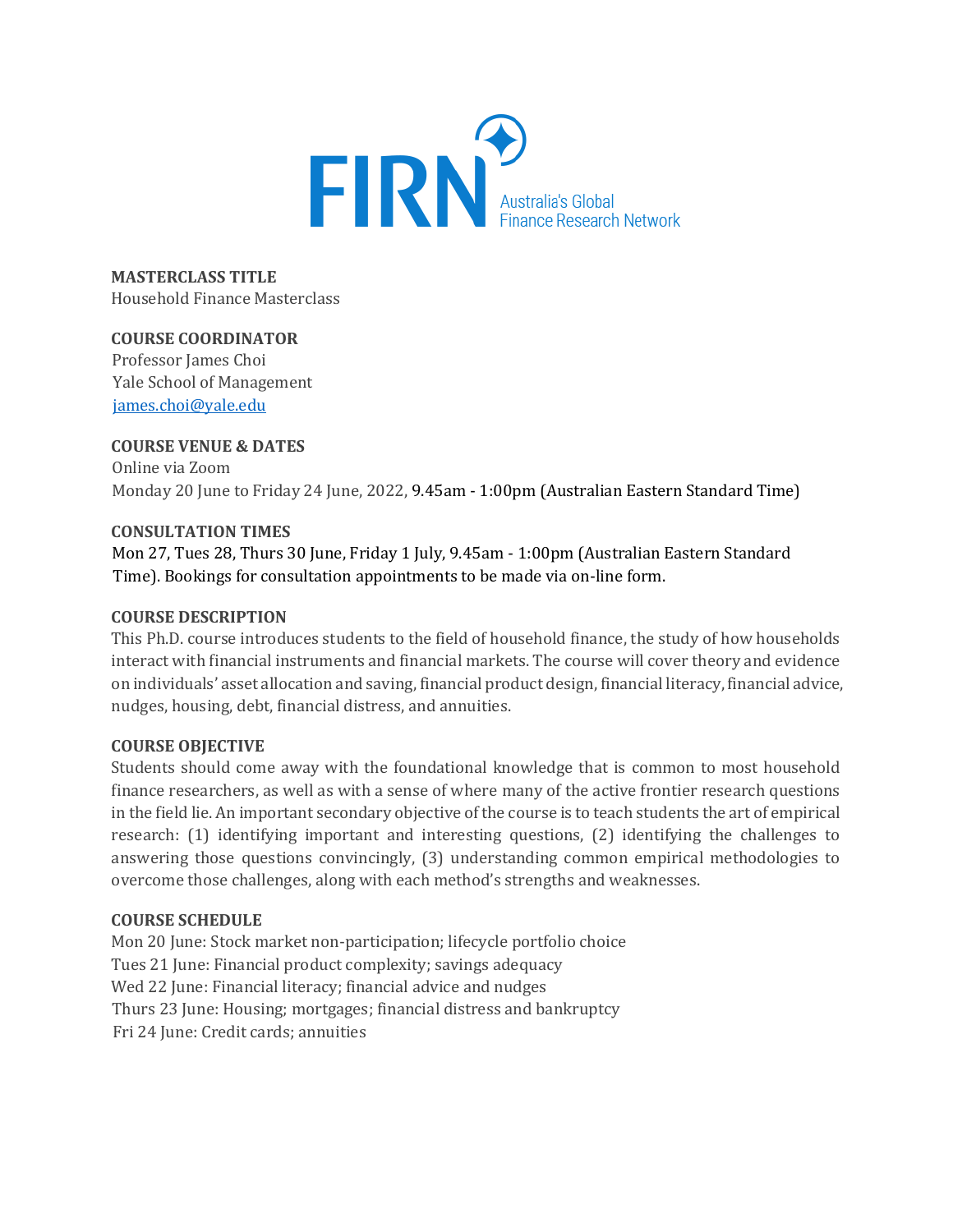

**MASTERCLASS TITLE** Household Finance Masterclass

# **COURSE COORDINATOR**

Professor James Choi Yale School of Management [james.choi@yale.edu](mailto:james.choi@yale.edu)

# **COURSE VENUE & DATES**

Online via Zoom Monday 20 June to Friday 24 June, 2022, 9.45am - 1:00pm (Australian Eastern Standard Time)

## **CONSULTATION TIMES**

Mon 27, Tues 28, Thurs 30 June, Friday 1 July, 9.45am - 1:00pm (Australian Eastern Standard Time). Bookings for consultation appointments to be made via on-line form.

# **COURSE DESCRIPTION**

This Ph.D. course introduces students to the field of household finance, the study of how households interact with financial instruments and financial markets. The course will cover theory and evidence on individuals' asset allocation and saving, financial product design, financial literacy, financial advice, nudges, housing, debt, financial distress, and annuities.

# **COURSE OBJECTIVE**

Students should come away with the foundational knowledge that is common to most household finance researchers, as well as with a sense of where many of the active frontier research questions in the field lie. An important secondary objective of the course is to teach students the art of empirical research: (1) identifying important and interesting questions, (2) identifying the challenges to answering those questions convincingly, (3) understanding common empirical methodologies to overcome those challenges, along with each method's strengths and weaknesses.

# **COURSE SCHEDULE**

Mon 20 June: Stock market non-participation; lifecycle portfolio choice Tues 21 June: Financial product complexity; savings adequacy Wed 22 June: Financial literacy; financial advice and nudges Thurs 23 June: Housing; mortgages; financial distress and bankruptcy Fri 24 June: Credit cards; annuities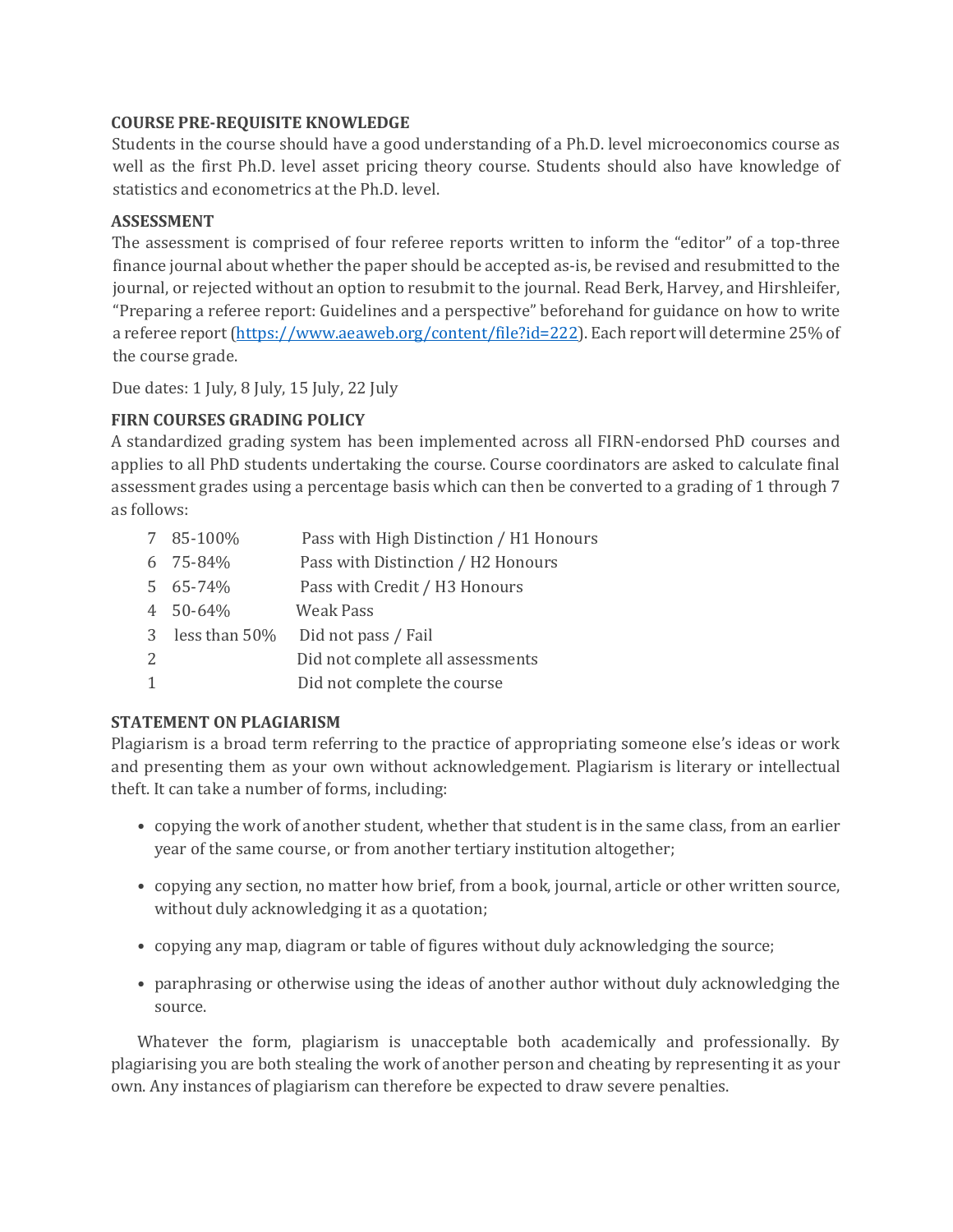# **COURSE PRE-REQUISITE KNOWLEDGE**

Students in the course should have a good understanding of a Ph.D. level microeconomics course as well as the first Ph.D. level asset pricing theory course. Students should also have knowledge of statistics and econometrics at the Ph.D. level.

## **ASSESSMENT**

The assessment is comprised of four referee reports written to inform the "editor" of a top-three finance journal about whether the paper should be accepted as-is, be revised and resubmitted to the journal, or rejected without an option to resubmit to the journal. Read Berk, Harvey, and Hirshleifer, "Preparing a referee report: Guidelines and a perspective" beforehand for guidance on how to write a referee report [\(https://www.aeaweb.org/content/file?id=222\)](https://www.aeaweb.org/content/file?id=222). Each report will determine 25% of the course grade.

Due dates: 1 July, 8 July, 15 July, 22 July

# **FIRN COURSES GRADING POLICY**

A standardized grading system has been implemented across all FIRN-endorsed PhD courses and applies to all PhD students undertaking the course. Course coordinators are asked to calculate final assessment grades using a percentage basis which can then be converted to a grading of 1 through 7 as follows:

|              | 7 85-100%     | Pass with High Distinction / H1 Honours |
|--------------|---------------|-----------------------------------------|
|              | 6 75-84%      | Pass with Distinction / H2 Honours      |
|              | 5 65-74%      | Pass with Credit / H3 Honours           |
|              | 4 50-64%      | Weak Pass                               |
| 3            | less than 50% | Did not pass / Fail                     |
| <sup>2</sup> |               | Did not complete all assessments        |
|              |               | Did not complete the course             |

# **STATEMENT ON PLAGIARISM**

Plagiarism is a broad term referring to the practice of appropriating someone else's ideas or work and presenting them as your own without acknowledgement. Plagiarism is literary or intellectual theft. It can take a number of forms, including:

- copying the work of another student, whether that student is in the same class, from an earlier year of the same course, or from another tertiary institution altogether;
- copying any section, no matter how brief, from a book, journal, article or other written source, without duly acknowledging it as a quotation;
- copying any map, diagram or table of figures without duly acknowledging the source;
- paraphrasing or otherwise using the ideas of another author without duly acknowledging the source.

Whatever the form, plagiarism is unacceptable both academically and professionally. By plagiarising you are both stealing the work of another person and cheating by representing it as your own. Any instances of plagiarism can therefore be expected to draw severe penalties.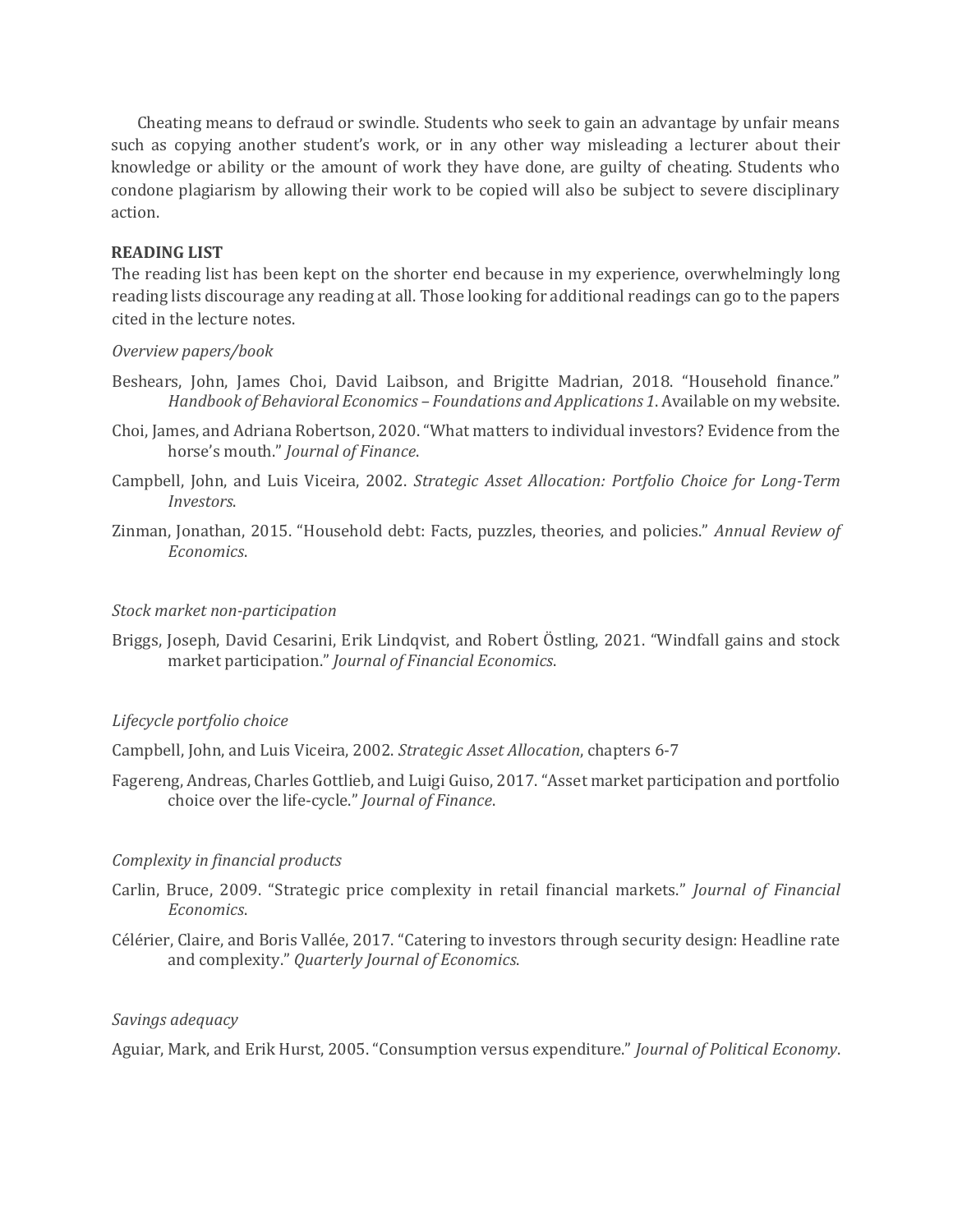Cheating means to defraud or swindle. Students who seek to gain an advantage by unfair means such as copying another student's work, or in any other way misleading a lecturer about their knowledge or ability or the amount of work they have done, are guilty of cheating. Students who condone plagiarism by allowing their work to be copied will also be subject to severe disciplinary action.

### **READING LIST**

The reading list has been kept on the shorter end because in my experience, overwhelmingly long reading lists discourage any reading at all. Those looking for additional readings can go to the papers cited in the lecture notes.

### *Overview papers/book*

- Beshears, John, James Choi, David Laibson, and Brigitte Madrian, 2018. "Household finance." *Handbook of Behavioral Economics – Foundations and Applications 1*. Available on my website.
- Choi, James, and Adriana Robertson, 2020. "What matters to individual investors? Evidence from the horse's mouth." *Journal of Finance*.
- Campbell, John, and Luis Viceira, 2002. *Strategic Asset Allocation: Portfolio Choice for Long-Term Investors*.
- Zinman, Jonathan, 2015. "Household debt: Facts, puzzles, theories, and policies." *Annual Review of Economics*.

### *Stock market non-participation*

Briggs, Joseph, David Cesarini, Erik Lindqvist, and Robert Östling, 2021. "Windfall gains and stock market participation." *Journal of Financial Economics*.

### *Lifecycle portfolio choice*

Campbell, John, and Luis Viceira, 2002. *Strategic Asset Allocation*, chapters 6-7

Fagereng, Andreas, Charles Gottlieb, and Luigi Guiso, 2017. "Asset market participation and portfolio choice over the life-cycle." *Journal of Finance*.

### *Complexity in financial products*

- Carlin, Bruce, 2009. "Strategic price complexity in retail financial markets." *Journal of Financial Economics*.
- Célérier, Claire, and Boris Vallée, 2017. "Catering to investors through security design: Headline rate and complexity." *Quarterly Journal of Economics*.

#### *Savings adequacy*

Aguiar, Mark, and Erik Hurst, 2005. "Consumption versus expenditure." *Journal of Political Economy*.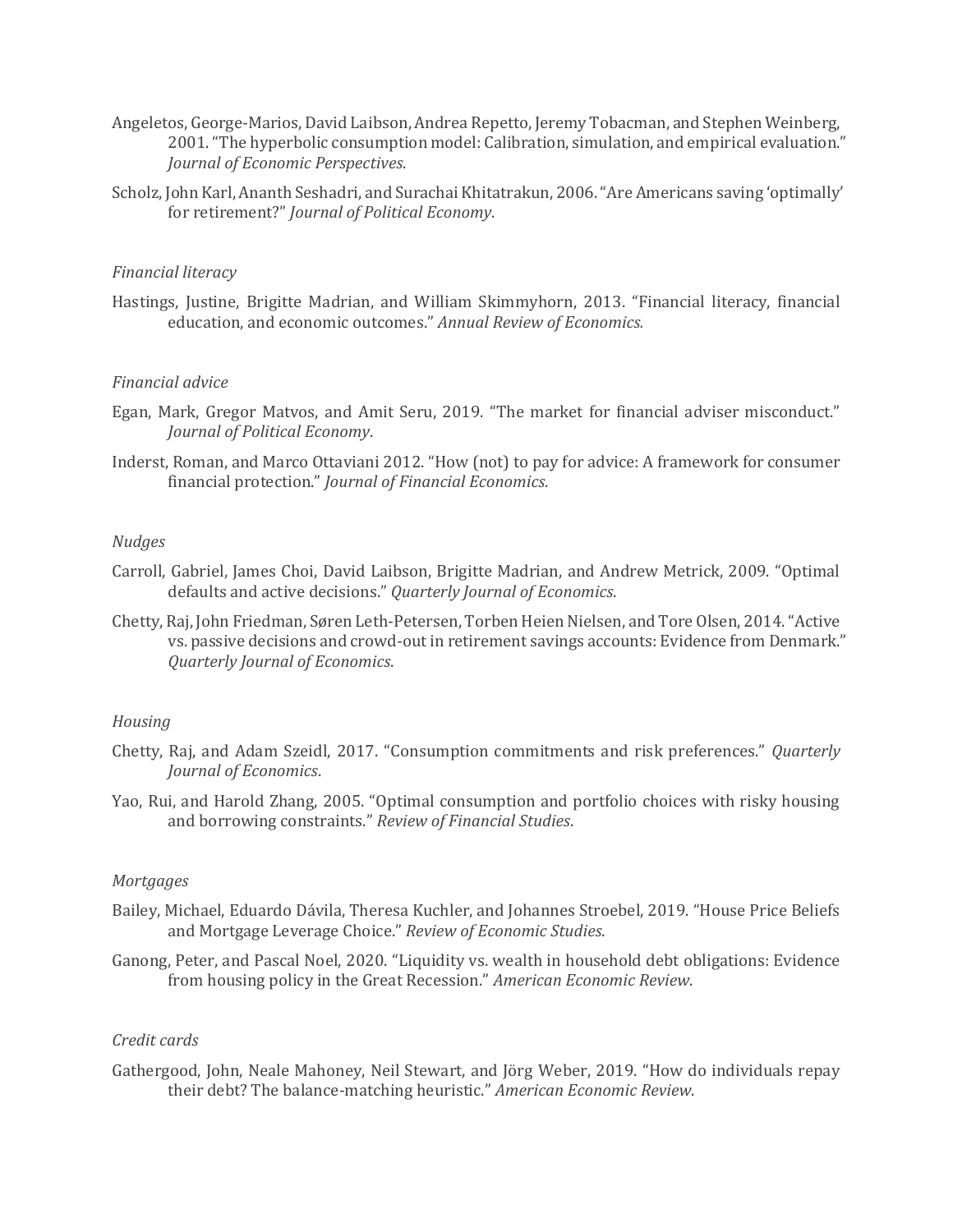- Angeletos, George-Marios, David Laibson, Andrea Repetto, Jeremy Tobacman, and Stephen Weinberg, 2001. "The hyperbolic consumption model: Calibration, simulation, and empirical evaluation." *Journal of Economic Perspectives*.
- Scholz, John Karl, Ananth Seshadri, and Surachai Khitatrakun, 2006. "Are Americans saving 'optimally' for retirement?" *Journal of Political Economy*.

### *Financial literacy*

Hastings, Justine, Brigitte Madrian, and William Skimmyhorn, 2013. "Financial literacy, financial education, and economic outcomes." *Annual Review of Economics.*

### *Financial advice*

- Egan, Mark, Gregor Matvos, and Amit Seru, 2019. "The market for financial adviser misconduct." *Journal of Political Economy*.
- Inderst, Roman, and Marco Ottaviani 2012. "How (not) to pay for advice: A framework for consumer financial protection." *Journal of Financial Economics*.

#### *Nudges*

- Carroll, Gabriel, James Choi, David Laibson, Brigitte Madrian, and Andrew Metrick, 2009. "Optimal defaults and active decisions." *Quarterly Journal of Economics*.
- Chetty, Raj, John Friedman, Søren Leth-Petersen, Torben Heien Nielsen, and Tore Olsen, 2014. "Active vs. passive decisions and crowd-out in retirement savings accounts: Evidence from Denmark." *Quarterly Journal of Economics*.

#### *Housing*

- Chetty, Raj, and Adam Szeidl, 2017. "Consumption commitments and risk preferences." *Quarterly Journal of Economics*.
- Yao, Rui, and Harold Zhang, 2005. "Optimal consumption and portfolio choices with risky housing and borrowing constraints." *Review of Financial Studies*.

### *Mortgages*

- Bailey, Michael, Eduardo Dávila, Theresa Kuchler, and Johannes Stroebel, 2019. "House Price Beliefs and Mortgage Leverage Choice." *Review of Economic Studies*.
- Ganong, Peter, and Pascal Noel, 2020. "Liquidity vs. wealth in household debt obligations: Evidence from housing policy in the Great Recession." *American Economic Review*.

### *Credit cards*

Gathergood, John, Neale Mahoney, Neil Stewart, and Jörg Weber, 2019. "How do individuals repay their debt? The balance-matching heuristic." *American Economic Review*.